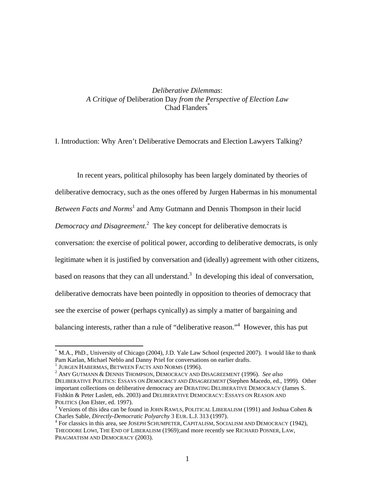# *Deliberative Dilemmas*: *A Critique of* Deliberation Day *from the Perspective of Election Law* Chad Flanders<sup>\*</sup>

I. Introduction: Why Aren't Deliberative Democrats and Election Lawyers Talking?

In recent years, political philosophy has been largely dominated by theories of deliberative democracy, such as the ones offered by Jurgen Habermas in his monumental Between Facts and Norms<sup>1</sup> and Amy Gutmann and Dennis Thompson in their lucid *Democracy and Disagreement*. 2 The key concept for deliberative democrats is conversation: the exercise of political power, according to deliberative democrats, is only legitimate when it is justified by conversation and (ideally) agreement with other citizens, based on reasons that they can all understand.<sup>3</sup> In developing this ideal of conversation, deliberative democrats have been pointedly in opposition to theories of democracy that see the exercise of power (perhaps cynically) as simply a matter of bargaining and balancing interests, rather than a rule of "deliberative reason."<sup>4</sup> However, this has put

<sup>\*</sup> M.A., PhD., University of Chicago (2004), J.D. Yale Law School (expected 2007). I would like to thank Pam Karlan, Michael Neblo and Danny Priel for conversations on earlier drafts. 1

 $1$  JURGEN HABERMAS, BETWEEN FACTS AND NORMS (1996).

AMY GUTMANN & DENNIS THOMPSON, DEMOCRACY AND DISAGREEMENT (1996). *See also* DELIBERATIVE POLITICS: ESSAYS ON *DEMOCRACY AND DISAGREEMENT* (Stephen Macedo, ed., 1999). Other important collections on deliberative democracy are DEBATING DELIBERATIVE DEMOCRACY (James S. Fishkin & Peter Laslett, eds. 2003) and DELIBERATIVE DEMOCRACY: ESSAYS ON REASON AND POLITICS (Jon Elster, ed. 1997).

<sup>&</sup>lt;sup>3</sup> Versions of this idea can be found in JOHN RAWLS, POLITICAL LIBERALISM (1991) and Joshua Cohen & Charles Sable, *Directly-Democratic Polyarchy* 3 EUR. L.J. 313 (1997). 4

For classics in this area, see JOSEPH SCHUMPETER, CAPITALISM, SOCIALISM AND DEMOCRACY (1942), THEODORE LOWI, THE END OF LIBERALISM (1969);and more recently see RICHARD POSNER, LAW, PRAGMATISM AND DEMOCRACY (2003).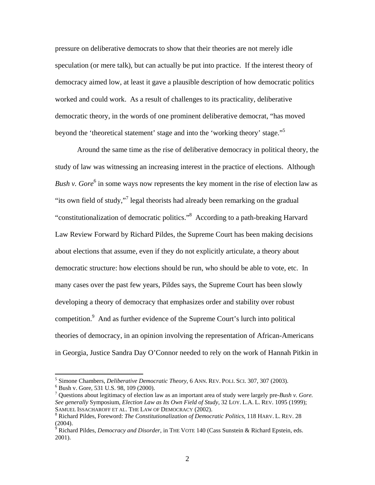pressure on deliberative democrats to show that their theories are not merely idle speculation (or mere talk), but can actually be put into practice. If the interest theory of democracy aimed low, at least it gave a plausible description of how democratic politics worked and could work. As a result of challenges to its practicality, deliberative democratic theory, in the words of one prominent deliberative democrat, "has moved beyond the 'theoretical statement' stage and into the 'working theory' stage."5

Around the same time as the rise of deliberative democracy in political theory, the study of law was witnessing an increasing interest in the practice of elections. Although *Bush v. Gore*<sup>6</sup> in some ways now represents the key moment in the rise of election law as "its own field of study,"<sup>7</sup> legal theorists had already been remarking on the gradual "constitutionalization of democratic politics."<sup>8</sup> According to a path-breaking Harvard Law Review Forward by Richard Pildes, the Supreme Court has been making decisions about elections that assume, even if they do not explicitly articulate, a theory about democratic structure: how elections should be run, who should be able to vote, etc. In many cases over the past few years, Pildes says, the Supreme Court has been slowly developing a theory of democracy that emphasizes order and stability over robust competition.<sup>9</sup> And as further evidence of the Supreme Court's lurch into political theories of democracy, in an opinion involving the representation of African-Americans in Georgia, Justice Sandra Day O'Connor needed to rely on the work of Hannah Pitkin in

<sup>&</sup>lt;sup>5</sup> Simone Chambers, *Deliberative Democratic Theory*, 6 ANN. REV. POLI. SCI. 307, 307 (2003).

Bush v. Gore, 531 U.S. 98, 109 (2000).

<sup>7</sup> Questions about legitimacy of election law as an important area of study were largely pre-*Bush v. Gore. See generally* Symposium, *Election Law as Its Own Field of Study*, 32 LOY. L.A. L. REV. 1095 (1999); SAMUEL ISSACHAROFF ET AL. THE LAW OF DEMOCRACY (2002).

Richard Pildes, Foreword: *The Constitutionalization of Democratic Politics*, 118 HARV. L. REV. 28 (2004).

<sup>9</sup> Richard Pildes, *Democracy and Disorder*, in THE VOTE 140 (Cass Sunstein & Richard Epstein, eds. 2001).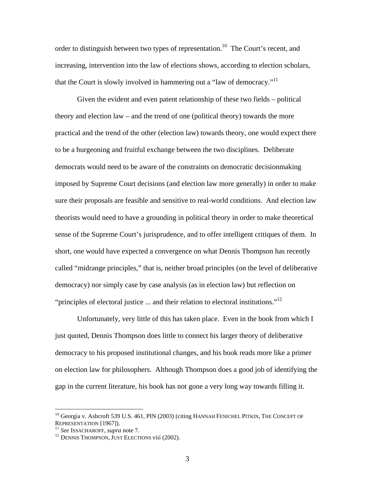order to distinguish between two types of representation.<sup>10</sup> The Court's recent, and increasing, intervention into the law of elections shows, according to election scholars, that the Court is slowly involved in hammering out a "law of democracy."<sup>11</sup>

Given the evident and even patent relationship of these two fields – political theory and election law – and the trend of one (political theory) towards the more practical and the trend of the other (election law) towards theory, one would expect there to be a burgeoning and fruitful exchange between the two disciplines. Deliberate democrats would need to be aware of the constraints on democratic decisionmaking imposed by Supreme Court decisions (and election law more generally) in order to make sure their proposals are feasible and sensitive to real-world conditions. And election law theorists would need to have a grounding in political theory in order to make theoretical sense of the Supreme Court's jurisprudence, and to offer intelligent critiques of them. In short, one would have expected a convergence on what Dennis Thompson has recently called "midrange principles," that is, neither broad principles (on the level of deliberative democracy) nor simply case by case analysis (as in election law) but reflection on "principles of electoral justice  $\ldots$  and their relation to electoral institutions."<sup>12</sup>

Unfortunately, very little of this has taken place. Even in the book from which I just quoted, Dennis Thompson does little to connect his larger theory of deliberative democracy to his proposed institutional changes, and his book reads more like a primer on election law for philosophers. Although Thompson does a good job of identifying the gap in the current literature, his book has not gone a very long way towards filling it.

 $^{10}$  Georgia v. Ashcroft 539 U.S. 461, PIN (2003) (citing HANNAH FENICHEL PITKIN, THE CONCEPT OF REPRESENTATION [1967]).

<sup>&</sup>lt;sup>11</sup> See ISSACHAROFF, *supra* note 7.<br><sup>12</sup> DENNIS THOMPSON, JUST ELECTIONS viii (2002).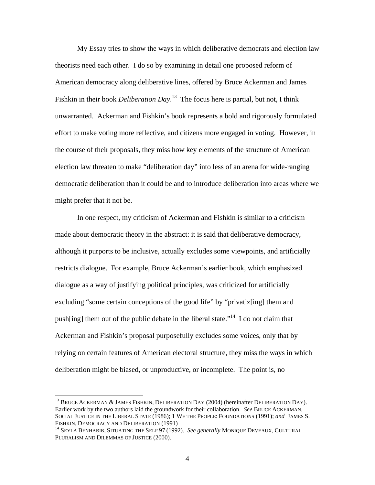My Essay tries to show the ways in which deliberative democrats and election law theorists need each other. I do so by examining in detail one proposed reform of American democracy along deliberative lines, offered by Bruce Ackerman and James Fishkin in their book *Deliberation Day*.<sup>13</sup> The focus here is partial, but not, I think unwarranted. Ackerman and Fishkin's book represents a bold and rigorously formulated effort to make voting more reflective, and citizens more engaged in voting. However, in the course of their proposals, they miss how key elements of the structure of American election law threaten to make "deliberation day" into less of an arena for wide-ranging democratic deliberation than it could be and to introduce deliberation into areas where we might prefer that it not be.

In one respect, my criticism of Ackerman and Fishkin is similar to a criticism made about democratic theory in the abstract: it is said that deliberative democracy, although it purports to be inclusive, actually excludes some viewpoints, and artificially restricts dialogue. For example, Bruce Ackerman's earlier book, which emphasized dialogue as a way of justifying political principles, was criticized for artificially excluding "some certain conceptions of the good life" by "privatiz[ing] them and push[ing] them out of the public debate in the liberal state.<sup> $14$ </sup> I do not claim that Ackerman and Fishkin's proposal purposefully excludes some voices, only that by relying on certain features of American electoral structure, they miss the ways in which deliberation might be biased, or unproductive, or incomplete. The point is, no

 $^{13}$  BRUCE ACKERMAN & JAMES FISHKIN, DELIBERATION DAY (2004) (hereinafter DELIBERATION DAY). Earlier work by the two authors laid the groundwork for their collaboration. *See* BRUCE ACKERMAN, SOCIAL JUSTICE IN THE LIBERAL STATE (1986); 1 WE THE PEOPLE: FOUNDATIONS (1991); *and* JAMES S. FISHKIN, DEMOCRACY AND DELIBERATION (1991)<br><sup>14</sup> SEYLA BENHABIB, SITUATING THE SELF 97 (1992). *See generally M*ONIQUE DEVEAUX, CULTURAL

PLURALISM AND DILEMMAS OF JUSTICE (2000).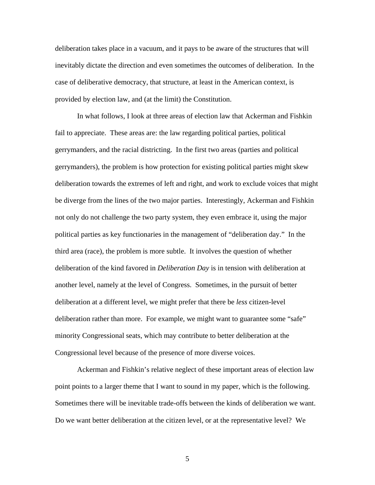deliberation takes place in a vacuum, and it pays to be aware of the structures that will inevitably dictate the direction and even sometimes the outcomes of deliberation. In the case of deliberative democracy, that structure, at least in the American context, is provided by election law, and (at the limit) the Constitution.

In what follows, I look at three areas of election law that Ackerman and Fishkin fail to appreciate. These areas are: the law regarding political parties, political gerrymanders, and the racial districting. In the first two areas (parties and political gerrymanders), the problem is how protection for existing political parties might skew deliberation towards the extremes of left and right, and work to exclude voices that might be diverge from the lines of the two major parties. Interestingly, Ackerman and Fishkin not only do not challenge the two party system, they even embrace it, using the major political parties as key functionaries in the management of "deliberation day." In the third area (race), the problem is more subtle. It involves the question of whether deliberation of the kind favored in *Deliberation Day* is in tension with deliberation at another level, namely at the level of Congress. Sometimes, in the pursuit of better deliberation at a different level, we might prefer that there be *less* citizen-level deliberation rather than more. For example, we might want to guarantee some "safe" minority Congressional seats, which may contribute to better deliberation at the Congressional level because of the presence of more diverse voices.

Ackerman and Fishkin's relative neglect of these important areas of election law point points to a larger theme that I want to sound in my paper, which is the following. Sometimes there will be inevitable trade-offs between the kinds of deliberation we want. Do we want better deliberation at the citizen level, or at the representative level? We

5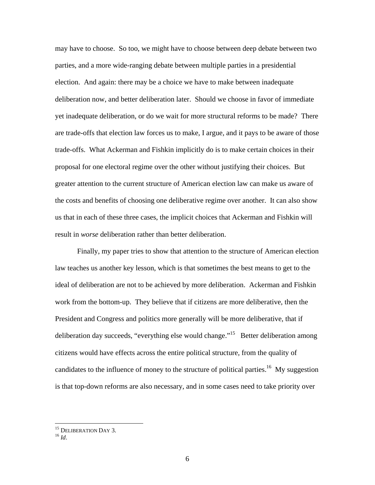may have to choose. So too, we might have to choose between deep debate between two parties, and a more wide-ranging debate between multiple parties in a presidential election. And again: there may be a choice we have to make between inadequate deliberation now, and better deliberation later. Should we choose in favor of immediate yet inadequate deliberation, or do we wait for more structural reforms to be made? There are trade-offs that election law forces us to make, I argue, and it pays to be aware of those trade-offs. What Ackerman and Fishkin implicitly do is to make certain choices in their proposal for one electoral regime over the other without justifying their choices. But greater attention to the current structure of American election law can make us aware of the costs and benefits of choosing one deliberative regime over another. It can also show us that in each of these three cases, the implicit choices that Ackerman and Fishkin will result in *worse* deliberation rather than better deliberation.

Finally, my paper tries to show that attention to the structure of American election law teaches us another key lesson, which is that sometimes the best means to get to the ideal of deliberation are not to be achieved by more deliberation. Ackerman and Fishkin work from the bottom-up. They believe that if citizens are more deliberative, then the President and Congress and politics more generally will be more deliberative, that if deliberation day succeeds, "everything else would change."<sup>15</sup> Better deliberation among citizens would have effects across the entire political structure, from the quality of candidates to the influence of money to the structure of political parties.<sup>16</sup> My suggestion is that top-down reforms are also necessary, and in some cases need to take priority over

<sup>&</sup>lt;sup>15</sup> DELIBERATION DAY 3.<br><sup>16</sup> *Id.*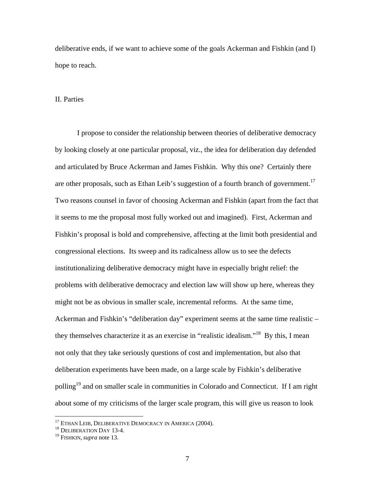deliberative ends, if we want to achieve some of the goals Ackerman and Fishkin (and I) hope to reach.

## II. Parties

I propose to consider the relationship between theories of deliberative democracy by looking closely at one particular proposal, viz., the idea for deliberation day defended and articulated by Bruce Ackerman and James Fishkin. Why this one? Certainly there are other proposals, such as Ethan Leib's suggestion of a fourth branch of government.<sup>17</sup> Two reasons counsel in favor of choosing Ackerman and Fishkin (apart from the fact that it seems to me the proposal most fully worked out and imagined). First, Ackerman and Fishkin's proposal is bold and comprehensive, affecting at the limit both presidential and congressional elections. Its sweep and its radicalness allow us to see the defects institutionalizing deliberative democracy might have in especially bright relief: the problems with deliberative democracy and election law will show up here, whereas they might not be as obvious in smaller scale, incremental reforms. At the same time, Ackerman and Fishkin's "deliberation day" experiment seems at the same time realistic – they themselves characterize it as an exercise in "realistic idealism."18 By this, I mean not only that they take seriously questions of cost and implementation, but also that deliberation experiments have been made, on a large scale by Fishkin's deliberative polling<sup>19</sup> and on smaller scale in communities in Colorado and Connecticut. If I am right about some of my criticisms of the larger scale program, this will give us reason to look

1

 $^{17}$  ETHAN LEIB, DELIBERATIVE DEMOCRACY IN AMERICA (2004).  $^{18}$  DELIBERATION DAY 13-4.

<sup>19</sup> FISHKIN, *supra* note 13.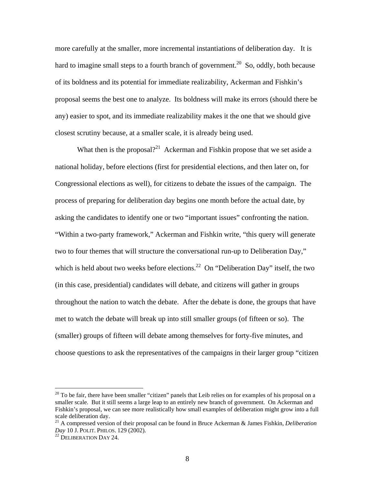more carefully at the smaller, more incremental instantiations of deliberation day. It is hard to imagine small steps to a fourth branch of government.<sup>20</sup> So, oddly, both because of its boldness and its potential for immediate realizability, Ackerman and Fishkin's proposal seems the best one to analyze. Its boldness will make its errors (should there be any) easier to spot, and its immediate realizability makes it the one that we should give closest scrutiny because, at a smaller scale, it is already being used.

What then is the proposal?<sup>21</sup> Ackerman and Fishkin propose that we set aside a national holiday, before elections (first for presidential elections, and then later on, for Congressional elections as well), for citizens to debate the issues of the campaign. The process of preparing for deliberation day begins one month before the actual date, by asking the candidates to identify one or two "important issues" confronting the nation. "Within a two-party framework," Ackerman and Fishkin write, "this query will generate two to four themes that will structure the conversational run-up to Deliberation Day," which is held about two weeks before elections.<sup>22</sup> On "Deliberation Day" itself, the two (in this case, presidential) candidates will debate, and citizens will gather in groups throughout the nation to watch the debate. After the debate is done, the groups that have met to watch the debate will break up into still smaller groups (of fifteen or so). The (smaller) groups of fifteen will debate among themselves for forty-five minutes, and choose questions to ask the representatives of the campaigns in their larger group "citizen

 $20$  To be fair, there have been smaller "citizen" panels that Leib relies on for examples of his proposal on a smaller scale. But it still seems a large leap to an entirely new branch of government. On Ackerman and Fishkin's proposal, we can see more realistically how small examples of deliberation might grow into a full scale deliberation day.

<sup>21</sup> A compressed version of their proposal can be found in Bruce Ackerman & James Fishkin, *Deliberation Day* 10 J. POLIT. PHILOS. 129 (2002).<br><sup>22</sup> DELIBERATION DAY 24.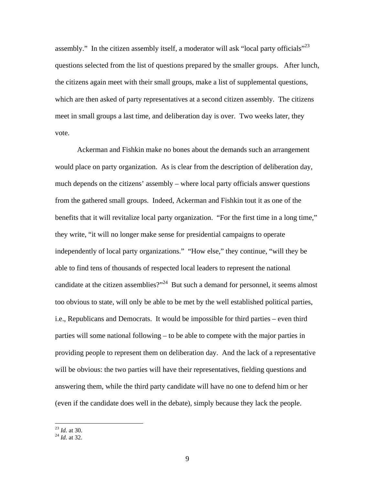assembly." In the citizen assembly itself, a moderator will ask "local party officials"<sup>23</sup> questions selected from the list of questions prepared by the smaller groups. After lunch, the citizens again meet with their small groups, make a list of supplemental questions, which are then asked of party representatives at a second citizen assembly. The citizens meet in small groups a last time, and deliberation day is over. Two weeks later, they vote.

Ackerman and Fishkin make no bones about the demands such an arrangement would place on party organization. As is clear from the description of deliberation day, much depends on the citizens' assembly – where local party officials answer questions from the gathered small groups. Indeed, Ackerman and Fishkin tout it as one of the benefits that it will revitalize local party organization. "For the first time in a long time," they write, "it will no longer make sense for presidential campaigns to operate independently of local party organizations." "How else," they continue, "will they be able to find tens of thousands of respected local leaders to represent the national candidate at the citizen assemblies?"<sup>24</sup> But such a demand for personnel, it seems almost too obvious to state, will only be able to be met by the well established political parties, i.e., Republicans and Democrats. It would be impossible for third parties – even third parties will some national following – to be able to compete with the major parties in providing people to represent them on deliberation day. And the lack of a representative will be obvious: the two parties will have their representatives, fielding questions and answering them, while the third party candidate will have no one to defend him or her (even if the candidate does well in the debate), simply because they lack the people.

<sup>23</sup> *Id.* at 30. 24 *Id.* at 32.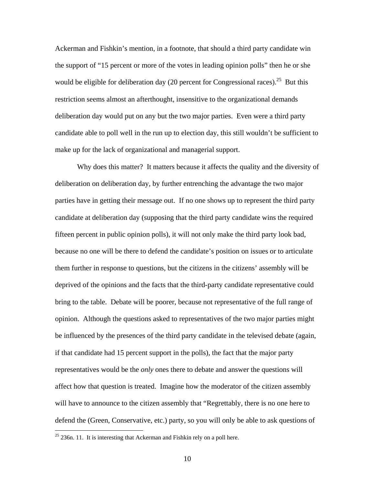Ackerman and Fishkin's mention, in a footnote, that should a third party candidate win the support of "15 percent or more of the votes in leading opinion polls" then he or she would be eligible for deliberation day (20 percent for Congressional races).<sup>25</sup> But this restriction seems almost an afterthought, insensitive to the organizational demands deliberation day would put on any but the two major parties. Even were a third party candidate able to poll well in the run up to election day, this still wouldn't be sufficient to make up for the lack of organizational and managerial support.

Why does this matter? It matters because it affects the quality and the diversity of deliberation on deliberation day, by further entrenching the advantage the two major parties have in getting their message out. If no one shows up to represent the third party candidate at deliberation day (supposing that the third party candidate wins the required fifteen percent in public opinion polls), it will not only make the third party look bad, because no one will be there to defend the candidate's position on issues or to articulate them further in response to questions, but the citizens in the citizens' assembly will be deprived of the opinions and the facts that the third-party candidate representative could bring to the table. Debate will be poorer, because not representative of the full range of opinion. Although the questions asked to representatives of the two major parties might be influenced by the presences of the third party candidate in the televised debate (again, if that candidate had 15 percent support in the polls), the fact that the major party representatives would be the *only* ones there to debate and answer the questions will affect how that question is treated. Imagine how the moderator of the citizen assembly will have to announce to the citizen assembly that "Regrettably, there is no one here to defend the (Green, Conservative, etc.) party, so you will only be able to ask questions of

 $25$  236n. 11. It is interesting that Ackerman and Fishkin rely on a poll here.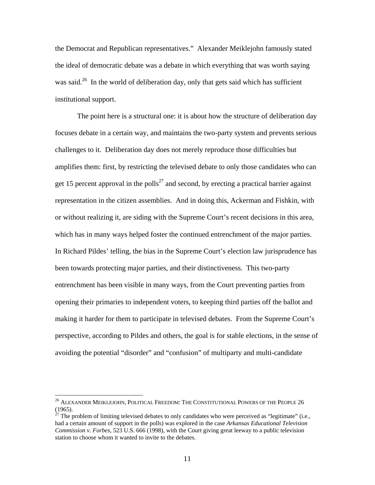the Democrat and Republican representatives." Alexander Meiklejohn famously stated the ideal of democratic debate was a debate in which everything that was worth saying was said.<sup>26</sup> In the world of deliberation day, only that gets said which has sufficient institutional support.

The point here is a structural one: it is about how the structure of deliberation day focuses debate in a certain way, and maintains the two-party system and prevents serious challenges to it. Deliberation day does not merely reproduce those difficulties but amplifies them: first, by restricting the televised debate to only those candidates who can get 15 percent approval in the polls<sup>27</sup> and second, by erecting a practical barrier against representation in the citizen assemblies. And in doing this, Ackerman and Fishkin, with or without realizing it, are siding with the Supreme Court's recent decisions in this area, which has in many ways helped foster the continued entrenchment of the major parties. In Richard Pildes' telling, the bias in the Supreme Court's election law jurisprudence has been towards protecting major parties, and their distinctiveness. This two-party entrenchment has been visible in many ways, from the Court preventing parties from opening their primaries to independent voters, to keeping third parties off the ballot and making it harder for them to participate in televised debates. From the Supreme Court's perspective, according to Pildes and others, the goal is for stable elections, in the sense of avoiding the potential "disorder" and "confusion" of multiparty and multi-candidate

 $^{26}$  Alexander Meiklejohn, Political Freedom: The Constitutional Powers of the People 26  $\,$ (1965).

<sup>&</sup>lt;sup>27</sup> The problem of limiting televised debates to only candidates who were perceived as "legitimate" (i.e., had a certain amount of support in the polls) was explored in the case *Arkansas Educational Television Commission v. Forbes*, 523 U.S. 666 (1998), with the Court giving great leeway to a public television station to choose whom it wanted to invite to the debates.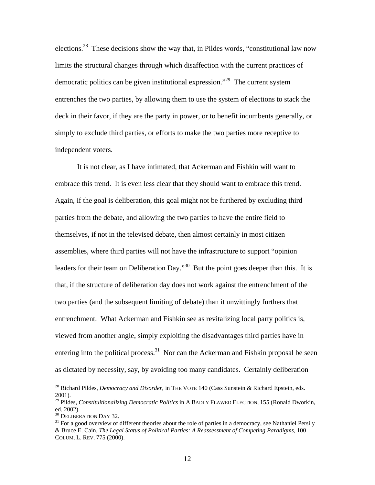elections.28 These decisions show the way that, in Pildes words, "constitutional law now limits the structural changes through which disaffection with the current practices of democratic politics can be given institutional expression."29 The current system entrenches the two parties, by allowing them to use the system of elections to stack the deck in their favor, if they are the party in power, or to benefit incumbents generally, or simply to exclude third parties, or efforts to make the two parties more receptive to independent voters.

It is not clear, as I have intimated, that Ackerman and Fishkin will want to embrace this trend. It is even less clear that they should want to embrace this trend. Again, if the goal is deliberation, this goal might not be furthered by excluding third parties from the debate, and allowing the two parties to have the entire field to themselves, if not in the televised debate, then almost certainly in most citizen assemblies, where third parties will not have the infrastructure to support "opinion leaders for their team on Deliberation Day."<sup>30</sup> But the point goes deeper than this. It is that, if the structure of deliberation day does not work against the entrenchment of the two parties (and the subsequent limiting of debate) than it unwittingly furthers that entrenchment. What Ackerman and Fishkin see as revitalizing local party politics is, viewed from another angle, simply exploiting the disadvantages third parties have in entering into the political process.<sup>31</sup> Nor can the Ackerman and Fishkin proposal be seen as dictated by necessity, say, by avoiding too many candidates. Certainly deliberation

<sup>28</sup> Richard Pildes, *Democracy and Disorder*, in THE VOTE 140 (Cass Sunstein & Richard Epstein, eds. 2001).

<sup>29</sup> Pildes, *Constituitionalizing Democratic Politics* in A BADLY FLAWED ELECTION, 155 (Ronald Dworkin, ed. 2002).<br> $30$  DELIBERATION DAY 32.

 $31$  For a good overview of different theories about the role of parties in a democracy, see Nathaniel Persily & Bruce E. Cain, *The Legal Status of Political Parties: A Reassessment of Competing Paradigms*, 100 COLUM. L. REV. 775 (2000).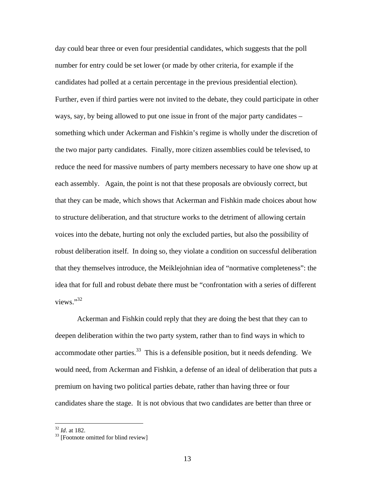day could bear three or even four presidential candidates, which suggests that the poll number for entry could be set lower (or made by other criteria, for example if the candidates had polled at a certain percentage in the previous presidential election). Further, even if third parties were not invited to the debate, they could participate in other ways, say, by being allowed to put one issue in front of the major party candidates – something which under Ackerman and Fishkin's regime is wholly under the discretion of the two major party candidates. Finally, more citizen assemblies could be televised, to reduce the need for massive numbers of party members necessary to have one show up at each assembly. Again, the point is not that these proposals are obviously correct, but that they can be made, which shows that Ackerman and Fishkin made choices about how to structure deliberation, and that structure works to the detriment of allowing certain voices into the debate, hurting not only the excluded parties, but also the possibility of robust deliberation itself. In doing so, they violate a condition on successful deliberation that they themselves introduce, the Meiklejohnian idea of "normative completeness": the idea that for full and robust debate there must be "confrontation with a series of different views."<sup>32</sup>

Ackerman and Fishkin could reply that they are doing the best that they can to deepen deliberation within the two party system, rather than to find ways in which to accommodate other parties. $33$  This is a defensible position, but it needs defending. We would need, from Ackerman and Fishkin, a defense of an ideal of deliberation that puts a premium on having two political parties debate, rather than having three or four candidates share the stage. It is not obvious that two candidates are better than three or

 $32$  *Id.* at 182.

<sup>&</sup>lt;sup>33</sup> [Footnote omitted for blind review]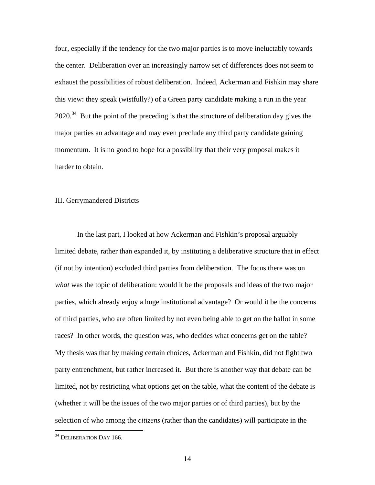four, especially if the tendency for the two major parties is to move ineluctably towards the center. Deliberation over an increasingly narrow set of differences does not seem to exhaust the possibilities of robust deliberation. Indeed, Ackerman and Fishkin may share this view: they speak (wistfully?) of a Green party candidate making a run in the year  $2020$ <sup>34</sup> But the point of the preceding is that the structure of deliberation day gives the major parties an advantage and may even preclude any third party candidate gaining momentum. It is no good to hope for a possibility that their very proposal makes it harder to obtain.

## III. Gerrymandered Districts

In the last part, I looked at how Ackerman and Fishkin's proposal arguably limited debate, rather than expanded it, by instituting a deliberative structure that in effect (if not by intention) excluded third parties from deliberation. The focus there was on *what* was the topic of deliberation: would it be the proposals and ideas of the two major parties, which already enjoy a huge institutional advantage? Or would it be the concerns of third parties, who are often limited by not even being able to get on the ballot in some races? In other words, the question was, who decides what concerns get on the table? My thesis was that by making certain choices, Ackerman and Fishkin, did not fight two party entrenchment, but rather increased it. But there is another way that debate can be limited, not by restricting what options get on the table, what the content of the debate is (whether it will be the issues of the two major parties or of third parties), but by the selection of who among the *citizens* (rather than the candidates) will participate in the

 $34$  DELIBERATION DAY 166.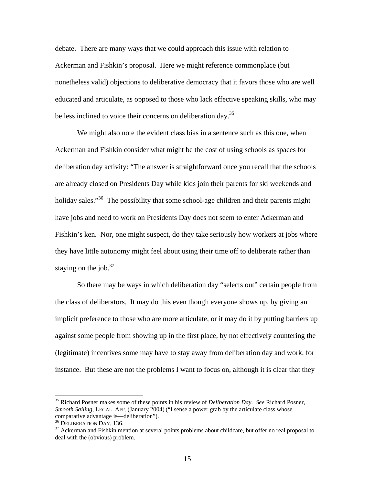debate. There are many ways that we could approach this issue with relation to Ackerman and Fishkin's proposal. Here we might reference commonplace (but nonetheless valid) objections to deliberative democracy that it favors those who are well educated and articulate, as opposed to those who lack effective speaking skills, who may be less inclined to voice their concerns on deliberation day.<sup>35</sup>

We might also note the evident class bias in a sentence such as this one, when Ackerman and Fishkin consider what might be the cost of using schools as spaces for deliberation day activity: "The answer is straightforward once you recall that the schools are already closed on Presidents Day while kids join their parents for ski weekends and holiday sales."<sup>36</sup> The possibility that some school-age children and their parents might have jobs and need to work on Presidents Day does not seem to enter Ackerman and Fishkin's ken. Nor, one might suspect, do they take seriously how workers at jobs where they have little autonomy might feel about using their time off to deliberate rather than staying on the job. $37$ 

So there may be ways in which deliberation day "selects out" certain people from the class of deliberators. It may do this even though everyone shows up, by giving an implicit preference to those who are more articulate, or it may do it by putting barriers up against some people from showing up in the first place, by not effectively countering the (legitimate) incentives some may have to stay away from deliberation day and work, for instance. But these are not the problems I want to focus on, although it is clear that they

<sup>35</sup> Richard Posner makes some of these points in his review of *Deliberation Day*. *See* Richard Posner, *Smooth Sailing*, LEGAL. AFF. (January 2004) ("I sense a power grab by the articulate class whose comparative advantage is—deliberation").<br><sup>36</sup> DELIBERATION DAY, 136.

 $37$  Ackerman and Fishkin mention at several points problems about childcare, but offer no real proposal to deal with the (obvious) problem.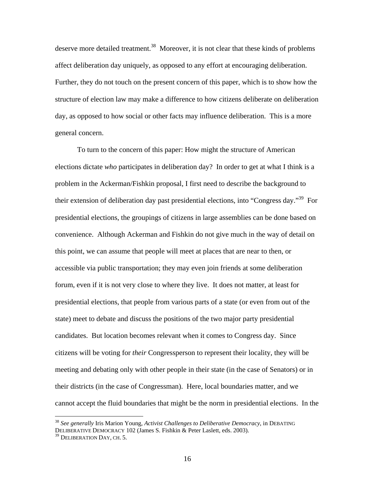deserve more detailed treatment.<sup>38</sup> Moreover, it is not clear that these kinds of problems affect deliberation day uniquely, as opposed to any effort at encouraging deliberation. Further, they do not touch on the present concern of this paper, which is to show how the structure of election law may make a difference to how citizens deliberate on deliberation day, as opposed to how social or other facts may influence deliberation. This is a more general concern.

To turn to the concern of this paper: How might the structure of American elections dictate *who* participates in deliberation day? In order to get at what I think is a problem in the Ackerman/Fishkin proposal, I first need to describe the background to their extension of deliberation day past presidential elections, into "Congress day."39 For presidential elections, the groupings of citizens in large assemblies can be done based on convenience. Although Ackerman and Fishkin do not give much in the way of detail on this point, we can assume that people will meet at places that are near to then, or accessible via public transportation; they may even join friends at some deliberation forum, even if it is not very close to where they live. It does not matter, at least for presidential elections, that people from various parts of a state (or even from out of the state) meet to debate and discuss the positions of the two major party presidential candidates. But location becomes relevant when it comes to Congress day. Since citizens will be voting for *their* Congressperson to represent their locality, they will be meeting and debating only with other people in their state (in the case of Senators) or in their districts (in the case of Congressman). Here, local boundaries matter, and we cannot accept the fluid boundaries that might be the norm in presidential elections. In the

<sup>38</sup> *See generally* Iris Marion Young, *Activist Challenges to Deliberative Democracy*, in DEBATING DELIBERATIVE DEMOCRACY 102 (James S. Fishkin & Peter Laslett, eds. 2003).

<sup>&</sup>lt;sup>39</sup> DELIBERATION DAY, CH. 5.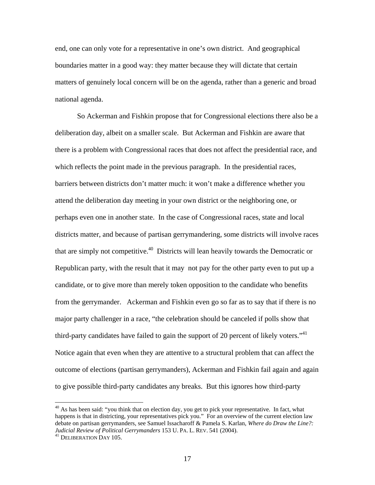end, one can only vote for a representative in one's own district. And geographical boundaries matter in a good way: they matter because they will dictate that certain matters of genuinely local concern will be on the agenda, rather than a generic and broad national agenda.

So Ackerman and Fishkin propose that for Congressional elections there also be a deliberation day, albeit on a smaller scale. But Ackerman and Fishkin are aware that there is a problem with Congressional races that does not affect the presidential race, and which reflects the point made in the previous paragraph. In the presidential races, barriers between districts don't matter much: it won't make a difference whether you attend the deliberation day meeting in your own district or the neighboring one, or perhaps even one in another state. In the case of Congressional races, state and local districts matter, and because of partisan gerrymandering, some districts will involve races that are simply not competitive.<sup>40</sup> Districts will lean heavily towards the Democratic or Republican party, with the result that it may not pay for the other party even to put up a candidate, or to give more than merely token opposition to the candidate who benefits from the gerrymander. Ackerman and Fishkin even go so far as to say that if there is no major party challenger in a race, "the celebration should be canceled if polls show that third-party candidates have failed to gain the support of 20 percent of likely voters.<sup> $1$ 1</sup> Notice again that even when they are attentive to a structural problem that can affect the outcome of elections (partisan gerrymanders), Ackerman and Fishkin fail again and again to give possible third-party candidates any breaks. But this ignores how third-party

1

<sup>&</sup>lt;sup>40</sup> As has been said: "you think that on election day, you get to pick your representative. In fact, what happens is that in districting, your representatives pick you." For an overview of the current election law debate on partisan gerrymanders, see Samuel Issacharoff & Pamela S. Karlan, *Where do Draw the Line?: Judicial Review of Political Gerrymanders* 153 U. PA. L. REV. 541 (2004).<br><sup>41</sup> DELIBERATION DAY 105.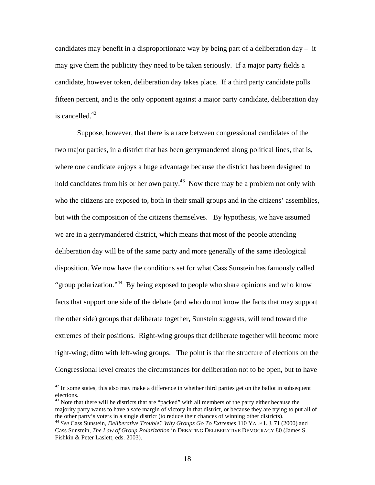candidates may benefit in a disproportionate way by being part of a deliberation day – it may give them the publicity they need to be taken seriously. If a major party fields a candidate, however token, deliberation day takes place. If a third party candidate polls fifteen percent, and is the only opponent against a major party candidate, deliberation day is cancelled. $42$ 

Suppose, however, that there is a race between congressional candidates of the two major parties, in a district that has been gerrymandered along political lines, that is, where one candidate enjoys a huge advantage because the district has been designed to hold candidates from his or her own party.<sup>43</sup> Now there may be a problem not only with who the citizens are exposed to, both in their small groups and in the citizens' assemblies, but with the composition of the citizens themselves. By hypothesis, we have assumed we are in a gerrymandered district, which means that most of the people attending deliberation day will be of the same party and more generally of the same ideological disposition. We now have the conditions set for what Cass Sunstein has famously called "group polarization."44 By being exposed to people who share opinions and who know facts that support one side of the debate (and who do not know the facts that may support the other side) groups that deliberate together, Sunstein suggests, will tend toward the extremes of their positions. Right-wing groups that deliberate together will become more right-wing; ditto with left-wing groups. The point is that the structure of elections on the Congressional level creates the circumstances for deliberation not to be open, but to have

1

 $42$  In some states, this also may make a difference in whether third parties get on the ballot in subsequent elections.

<sup>&</sup>lt;sup>43</sup> Note that there will be districts that are "packed" with all members of the party either because the majority party wants to have a safe margin of victory in that district, or because they are trying to put all of the other party's voters in a single district (to reduce their chances of winning other districts).

<sup>44</sup> *See* Cass Sunstein, *Deliberative Trouble? Why Groups Go To Extremes* 110 YALE L.J. 71 (2000) and Cass Sunstein, *The Law of Group Polarization* in DEBATING DELIBERATIVE DEMOCRACY 80 (James S. Fishkin & Peter Laslett, eds. 2003).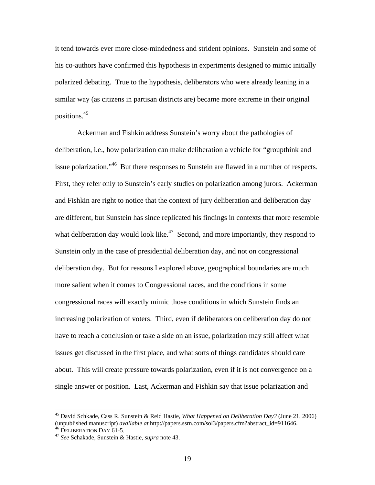it tend towards ever more close-mindedness and strident opinions. Sunstein and some of his co-authors have confirmed this hypothesis in experiments designed to mimic initially polarized debating. True to the hypothesis, deliberators who were already leaning in a similar way (as citizens in partisan districts are) became more extreme in their original positions.45

Ackerman and Fishkin address Sunstein's worry about the pathologies of deliberation, i.e., how polarization can make deliberation a vehicle for "groupthink and issue polarization."<sup>46</sup> But there responses to Sunstein are flawed in a number of respects. First, they refer only to Sunstein's early studies on polarization among jurors. Ackerman and Fishkin are right to notice that the context of jury deliberation and deliberation day are different, but Sunstein has since replicated his findings in contexts that more resemble what deliberation day would look like.<sup> $47$ </sup> Second, and more importantly, they respond to Sunstein only in the case of presidential deliberation day, and not on congressional deliberation day. But for reasons I explored above, geographical boundaries are much more salient when it comes to Congressional races, and the conditions in some congressional races will exactly mimic those conditions in which Sunstein finds an increasing polarization of voters. Third, even if deliberators on deliberation day do not have to reach a conclusion or take a side on an issue, polarization may still affect what issues get discussed in the first place, and what sorts of things candidates should care about. This will create pressure towards polarization, even if it is not convergence on a single answer or position. Last, Ackerman and Fishkin say that issue polarization and

<u>.</u>

<sup>45</sup> David Schkade, Cass R. Sunstein & Reid Hastie, *What Happened on Deliberation Day?* (June 21, 2006) (unpublished manuscript) *available at* http://papers.ssrn.com/sol3/papers.cfm?abstract\_id=911646. 46 DELIBERATION DAY 61-5. 47 *See* Schakade, Sunstein & Hastie, *supra* note 43.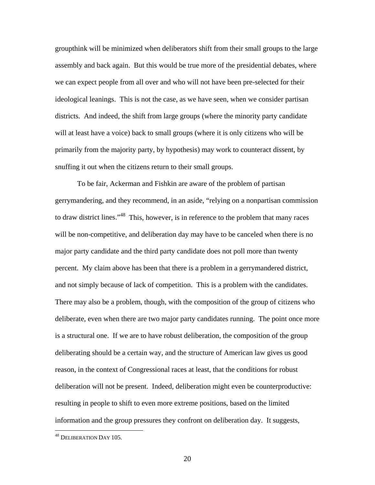groupthink will be minimized when deliberators shift from their small groups to the large assembly and back again. But this would be true more of the presidential debates, where we can expect people from all over and who will not have been pre-selected for their ideological leanings. This is not the case, as we have seen, when we consider partisan districts. And indeed, the shift from large groups (where the minority party candidate will at least have a voice) back to small groups (where it is only citizens who will be primarily from the majority party, by hypothesis) may work to counteract dissent, by snuffing it out when the citizens return to their small groups.

To be fair, Ackerman and Fishkin are aware of the problem of partisan gerrymandering, and they recommend, in an aside, "relying on a nonpartisan commission to draw district lines."<sup>48</sup> This, however, is in reference to the problem that many races will be non-competitive, and deliberation day may have to be canceled when there is no major party candidate and the third party candidate does not poll more than twenty percent. My claim above has been that there is a problem in a gerrymandered district, and not simply because of lack of competition. This is a problem with the candidates. There may also be a problem, though, with the composition of the group of citizens who deliberate, even when there are two major party candidates running. The point once more is a structural one. If we are to have robust deliberation, the composition of the group deliberating should be a certain way, and the structure of American law gives us good reason, in the context of Congressional races at least, that the conditions for robust deliberation will not be present. Indeed, deliberation might even be counterproductive: resulting in people to shift to even more extreme positions, based on the limited information and the group pressures they confront on deliberation day. It suggests,

<sup>&</sup>lt;sup>48</sup> DELIBERATION DAY 105.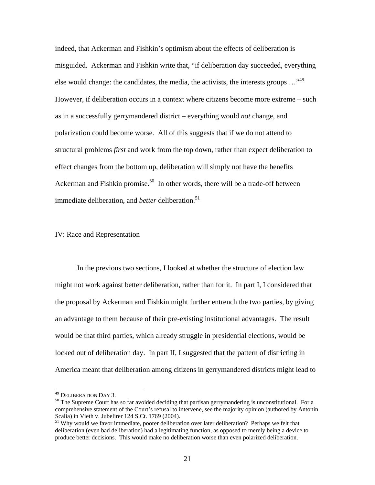indeed, that Ackerman and Fishkin's optimism about the effects of deliberation is misguided. Ackerman and Fishkin write that, "if deliberation day succeeded, everything else would change: the candidates, the media, the activists, the interests groups  $\ldots$ <sup>49</sup> However, if deliberation occurs in a context where citizens become more extreme – such as in a successfully gerrymandered district – everything would *not* change, and polarization could become worse. All of this suggests that if we do not attend to structural problems *first* and work from the top down, rather than expect deliberation to effect changes from the bottom up, deliberation will simply not have the benefits Ackerman and Fishkin promise.<sup>50</sup> In other words, there will be a trade-off between immediate deliberation, and *better* deliberation.<sup>51</sup>

#### IV: Race and Representation

In the previous two sections, I looked at whether the structure of election law might not work against better deliberation, rather than for it. In part I, I considered that the proposal by Ackerman and Fishkin might further entrench the two parties, by giving an advantage to them because of their pre-existing institutional advantages. The result would be that third parties, which already struggle in presidential elections, would be locked out of deliberation day. In part II, I suggested that the pattern of districting in America meant that deliberation among citizens in gerrymandered districts might lead to

<sup>&</sup>lt;sup>49</sup> DELIBERATION DAY 3.

 $50$  The Supreme Court has so far avoided deciding that partisan gerrymandering is unconstitutional. For a comprehensive statement of the Court's refusal to intervene, see the majority opinion (authored by Antonin Scalia) in Vieth v. Jubelirer 124 S.Ct. 1769 (2004).

<sup>&</sup>lt;sup>51</sup> Why would we favor immediate, poorer deliberation over later deliberation? Perhaps we felt that deliberation (even bad deliberation) had a legitimating function, as opposed to merely being a device to produce better decisions. This would make no deliberation worse than even polarized deliberation.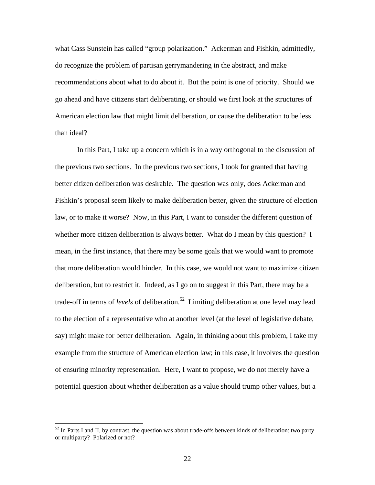what Cass Sunstein has called "group polarization." Ackerman and Fishkin, admittedly, do recognize the problem of partisan gerrymandering in the abstract, and make recommendations about what to do about it. But the point is one of priority. Should we go ahead and have citizens start deliberating, or should we first look at the structures of American election law that might limit deliberation, or cause the deliberation to be less than ideal?

In this Part, I take up a concern which is in a way orthogonal to the discussion of the previous two sections. In the previous two sections, I took for granted that having better citizen deliberation was desirable. The question was only, does Ackerman and Fishkin's proposal seem likely to make deliberation better, given the structure of election law, or to make it worse? Now, in this Part, I want to consider the different question of whether more citizen deliberation is always better. What do I mean by this question? I mean, in the first instance, that there may be some goals that we would want to promote that more deliberation would hinder. In this case, we would not want to maximize citizen deliberation, but to restrict it. Indeed, as I go on to suggest in this Part, there may be a trade-off in terms of *levels* of deliberation.<sup>52</sup> Limiting deliberation at one level may lead to the election of a representative who at another level (at the level of legislative debate, say) might make for better deliberation. Again, in thinking about this problem, I take my example from the structure of American election law; in this case, it involves the question of ensuring minority representation. Here, I want to propose, we do not merely have a potential question about whether deliberation as a value should trump other values, but a

<sup>&</sup>lt;sup>52</sup> In Parts I and II, by contrast, the question was about trade-offs between kinds of deliberation: two party or multiparty? Polarized or not?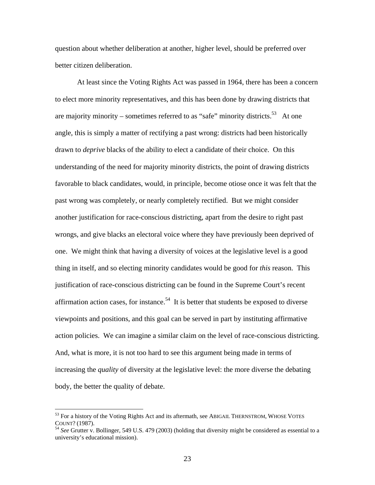question about whether deliberation at another, higher level, should be preferred over better citizen deliberation.

At least since the Voting Rights Act was passed in 1964, there has been a concern to elect more minority representatives, and this has been done by drawing districts that are majority minority – sometimes referred to as "safe" minority districts.<sup>53</sup> At one angle, this is simply a matter of rectifying a past wrong: districts had been historically drawn to *deprive* blacks of the ability to elect a candidate of their choice. On this understanding of the need for majority minority districts, the point of drawing districts favorable to black candidates, would, in principle, become otiose once it was felt that the past wrong was completely, or nearly completely rectified. But we might consider another justification for race-conscious districting, apart from the desire to right past wrongs, and give blacks an electoral voice where they have previously been deprived of one. We might think that having a diversity of voices at the legislative level is a good thing in itself, and so electing minority candidates would be good for *this* reason. This justification of race-conscious districting can be found in the Supreme Court's recent affirmation action cases, for instance.<sup>54</sup> It is better that students be exposed to diverse viewpoints and positions, and this goal can be served in part by instituting affirmative action policies. We can imagine a similar claim on the level of race-conscious districting. And, what is more, it is not too hard to see this argument being made in terms of increasing the *quality* of diversity at the legislative level: the more diverse the debating body, the better the quality of debate.

 $53$  For a history of the Voting Rights Act and its aftermath, see ABIGAIL THERNSTROM, WHOSE VOTES COUNT? (1987). 54 *See* Grutter v. Bollinger, 549 U.S. 479 (2003) (holding that diversity might be considered as essential to a

university's educational mission).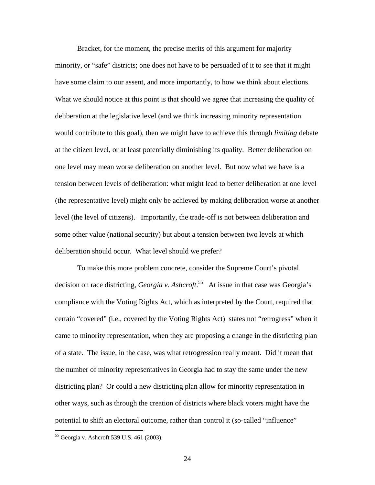Bracket, for the moment, the precise merits of this argument for majority minority, or "safe" districts; one does not have to be persuaded of it to see that it might have some claim to our assent, and more importantly, to how we think about elections. What we should notice at this point is that should we agree that increasing the quality of deliberation at the legislative level (and we think increasing minority representation would contribute to this goal), then we might have to achieve this through *limiting* debate at the citizen level, or at least potentially diminishing its quality. Better deliberation on one level may mean worse deliberation on another level. But now what we have is a tension between levels of deliberation: what might lead to better deliberation at one level (the representative level) might only be achieved by making deliberation worse at another level (the level of citizens). Importantly, the trade-off is not between deliberation and some other value (national security) but about a tension between two levels at which deliberation should occur. What level should we prefer?

To make this more problem concrete, consider the Supreme Court's pivotal decision on race districting, *Georgia v. Ashcroft*. 55 At issue in that case was Georgia's compliance with the Voting Rights Act, which as interpreted by the Court, required that certain "covered" (i.e., covered by the Voting Rights Act) states not "retrogress" when it came to minority representation, when they are proposing a change in the districting plan of a state. The issue, in the case, was what retrogression really meant. Did it mean that the number of minority representatives in Georgia had to stay the same under the new districting plan? Or could a new districting plan allow for minority representation in other ways, such as through the creation of districts where black voters might have the potential to shift an electoral outcome, rather than control it (so-called "influence"

<sup>55</sup> Georgia v. Ashcroft 539 U.S. 461 (2003).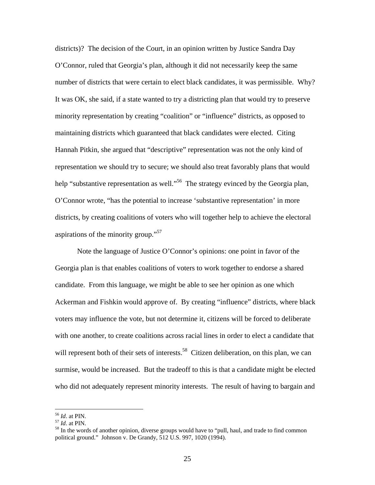districts)? The decision of the Court, in an opinion written by Justice Sandra Day O'Connor, ruled that Georgia's plan, although it did not necessarily keep the same number of districts that were certain to elect black candidates, it was permissible. Why? It was OK, she said, if a state wanted to try a districting plan that would try to preserve minority representation by creating "coalition" or "influence" districts, as opposed to maintaining districts which guaranteed that black candidates were elected. Citing Hannah Pitkin, she argued that "descriptive" representation was not the only kind of representation we should try to secure; we should also treat favorably plans that would help "substantive representation as well."<sup>56</sup> The strategy evinced by the Georgia plan, O'Connor wrote, "has the potential to increase 'substantive representation' in more districts, by creating coalitions of voters who will together help to achieve the electoral aspirations of the minority group."<sup>57</sup>

 Note the language of Justice O'Connor's opinions: one point in favor of the Georgia plan is that enables coalitions of voters to work together to endorse a shared candidate. From this language, we might be able to see her opinion as one which Ackerman and Fishkin would approve of. By creating "influence" districts, where black voters may influence the vote, but not determine it, citizens will be forced to deliberate with one another, to create coalitions across racial lines in order to elect a candidate that will represent both of their sets of interests.<sup>58</sup> Citizen deliberation, on this plan, we can surmise, would be increased. But the tradeoff to this is that a candidate might be elected who did not adequately represent minority interests. The result of having to bargain and

<sup>&</sup>lt;sup>56</sup> *Id*. at PIN.<br><sup>57</sup> *Id*. at PIN.<br><sup>58</sup> In the words of another opinion, diverse groups would have to "pull, haul, and trade to find common political ground." Johnson v. De Grandy, 512 U.S. 997, 1020 (1994).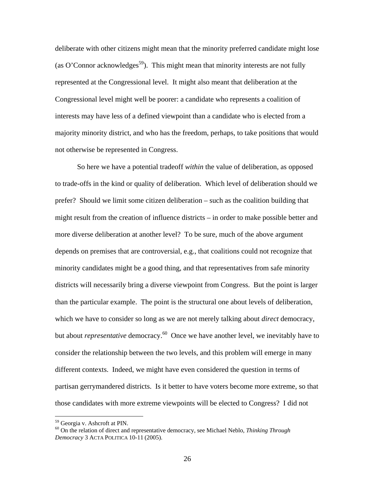deliberate with other citizens might mean that the minority preferred candidate might lose (as O'Connor acknowledges<sup>59</sup>). This might mean that minority interests are not fully represented at the Congressional level. It might also meant that deliberation at the Congressional level might well be poorer: a candidate who represents a coalition of interests may have less of a defined viewpoint than a candidate who is elected from a majority minority district, and who has the freedom, perhaps, to take positions that would not otherwise be represented in Congress.

So here we have a potential tradeoff *within* the value of deliberation, as opposed to trade-offs in the kind or quality of deliberation. Which level of deliberation should we prefer? Should we limit some citizen deliberation – such as the coalition building that might result from the creation of influence districts – in order to make possible better and more diverse deliberation at another level? To be sure, much of the above argument depends on premises that are controversial, e.g., that coalitions could not recognize that minority candidates might be a good thing, and that representatives from safe minority districts will necessarily bring a diverse viewpoint from Congress. But the point is larger than the particular example. The point is the structural one about levels of deliberation, which we have to consider so long as we are not merely talking about *direct* democracy, but about *representative* democracy.<sup>60</sup> Once we have another level, we inevitably have to consider the relationship between the two levels, and this problem will emerge in many different contexts. Indeed, we might have even considered the question in terms of partisan gerrymandered districts. Is it better to have voters become more extreme, so that those candidates with more extreme viewpoints will be elected to Congress? I did not

<sup>59</sup> Georgia v. Ashcroft at PIN.

<sup>60</sup> On the relation of direct and representative democracy, see Michael Neblo, *Thinking Through Democracy* 3 ACTA POLITICA 10-11 (2005).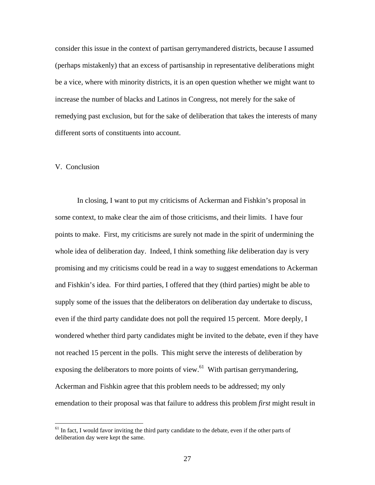consider this issue in the context of partisan gerrymandered districts, because I assumed (perhaps mistakenly) that an excess of partisanship in representative deliberations might be a vice, where with minority districts, it is an open question whether we might want to increase the number of blacks and Latinos in Congress, not merely for the sake of remedying past exclusion, but for the sake of deliberation that takes the interests of many different sorts of constituents into account.

## V. Conclusion

 $\overline{a}$ 

In closing, I want to put my criticisms of Ackerman and Fishkin's proposal in some context, to make clear the aim of those criticisms, and their limits. I have four points to make. First, my criticisms are surely not made in the spirit of undermining the whole idea of deliberation day. Indeed, I think something *like* deliberation day is very promising and my criticisms could be read in a way to suggest emendations to Ackerman and Fishkin's idea. For third parties, I offered that they (third parties) might be able to supply some of the issues that the deliberators on deliberation day undertake to discuss, even if the third party candidate does not poll the required 15 percent. More deeply, I wondered whether third party candidates might be invited to the debate, even if they have not reached 15 percent in the polls. This might serve the interests of deliberation by exposing the deliberators to more points of view. $61$  With partisan gerrymandering, Ackerman and Fishkin agree that this problem needs to be addressed; my only emendation to their proposal was that failure to address this problem *first* might result in

<sup>&</sup>lt;sup>61</sup> In fact, I would favor inviting the third party candidate to the debate, even if the other parts of deliberation day were kept the same.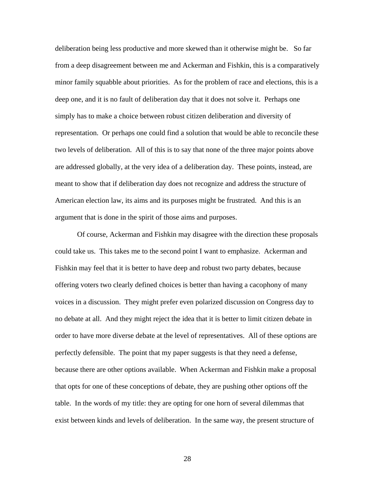deliberation being less productive and more skewed than it otherwise might be. So far from a deep disagreement between me and Ackerman and Fishkin, this is a comparatively minor family squabble about priorities. As for the problem of race and elections, this is a deep one, and it is no fault of deliberation day that it does not solve it. Perhaps one simply has to make a choice between robust citizen deliberation and diversity of representation. Or perhaps one could find a solution that would be able to reconcile these two levels of deliberation. All of this is to say that none of the three major points above are addressed globally, at the very idea of a deliberation day. These points, instead, are meant to show that if deliberation day does not recognize and address the structure of American election law, its aims and its purposes might be frustrated. And this is an argument that is done in the spirit of those aims and purposes.

 Of course, Ackerman and Fishkin may disagree with the direction these proposals could take us. This takes me to the second point I want to emphasize. Ackerman and Fishkin may feel that it is better to have deep and robust two party debates, because offering voters two clearly defined choices is better than having a cacophony of many voices in a discussion. They might prefer even polarized discussion on Congress day to no debate at all. And they might reject the idea that it is better to limit citizen debate in order to have more diverse debate at the level of representatives. All of these options are perfectly defensible. The point that my paper suggests is that they need a defense, because there are other options available. When Ackerman and Fishkin make a proposal that opts for one of these conceptions of debate, they are pushing other options off the table. In the words of my title: they are opting for one horn of several dilemmas that exist between kinds and levels of deliberation. In the same way, the present structure of

28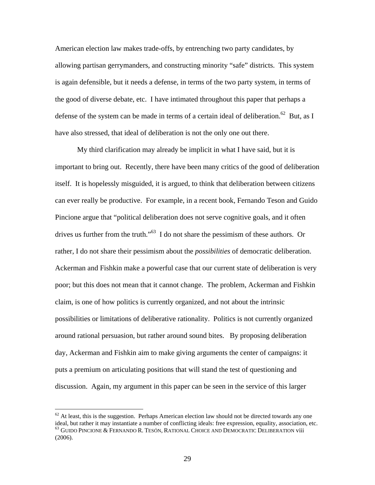American election law makes trade-offs, by entrenching two party candidates, by allowing partisan gerrymanders, and constructing minority "safe" districts. This system is again defensible, but it needs a defense, in terms of the two party system, in terms of the good of diverse debate, etc. I have intimated throughout this paper that perhaps a defense of the system can be made in terms of a certain ideal of deliberation.<sup>62</sup> But, as I have also stressed, that ideal of deliberation is not the only one out there.

My third clarification may already be implicit in what I have said, but it is important to bring out. Recently, there have been many critics of the good of deliberation itself. It is hopelessly misguided, it is argued, to think that deliberation between citizens can ever really be productive. For example, in a recent book, Fernando Teson and Guido Pincione argue that "political deliberation does not serve cognitive goals, and it often drives us further from the truth."<sup>63</sup> I do not share the pessimism of these authors. Or rather, I do not share their pessimism about the *possibilities* of democratic deliberation. Ackerman and Fishkin make a powerful case that our current state of deliberation is very poor; but this does not mean that it cannot change. The problem, Ackerman and Fishkin claim, is one of how politics is currently organized, and not about the intrinsic possibilities or limitations of deliberative rationality. Politics is not currently organized around rational persuasion, but rather around sound bites. By proposing deliberation day, Ackerman and Fishkin aim to make giving arguments the center of campaigns: it puts a premium on articulating positions that will stand the test of questioning and discussion. Again, my argument in this paper can be seen in the service of this larger

<u>.</u>

 $62$  At least, this is the suggestion. Perhaps American election law should not be directed towards any one ideal, but rather it may instantiate a number of conflicting ideals: free expression, equality, association, etc.  $^{63}$  Guido Pincione & Fernando R. Tesón, Rational Choice and Democratic Deliberation viii (2006).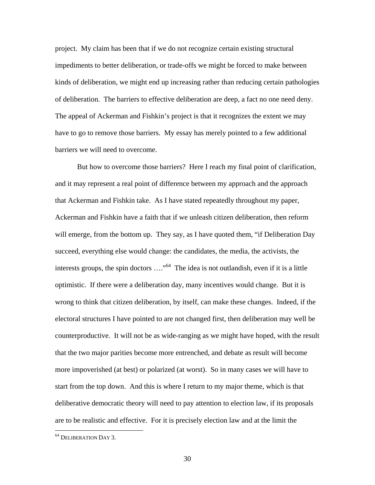project. My claim has been that if we do not recognize certain existing structural impediments to better deliberation, or trade-offs we might be forced to make between kinds of deliberation, we might end up increasing rather than reducing certain pathologies of deliberation. The barriers to effective deliberation are deep, a fact no one need deny. The appeal of Ackerman and Fishkin's project is that it recognizes the extent we may have to go to remove those barriers. My essay has merely pointed to a few additional barriers we will need to overcome.

But how to overcome those barriers? Here I reach my final point of clarification, and it may represent a real point of difference between my approach and the approach that Ackerman and Fishkin take. As I have stated repeatedly throughout my paper, Ackerman and Fishkin have a faith that if we unleash citizen deliberation, then reform will emerge, from the bottom up. They say, as I have quoted them, "if Deliberation Day" succeed, everything else would change: the candidates, the media, the activists, the interests groups, the spin doctors ...."<sup>64</sup> The idea is not outlandish, even if it is a little optimistic. If there were a deliberation day, many incentives would change. But it is wrong to think that citizen deliberation, by itself, can make these changes. Indeed, if the electoral structures I have pointed to are not changed first, then deliberation may well be counterproductive. It will not be as wide-ranging as we might have hoped, with the result that the two major parities become more entrenched, and debate as result will become more impoverished (at best) or polarized (at worst). So in many cases we will have to start from the top down. And this is where I return to my major theme, which is that deliberative democratic theory will need to pay attention to election law, if its proposals are to be realistic and effective. For it is precisely election law and at the limit the

<sup>&</sup>lt;sup>64</sup> DELIBERATION DAY 3.